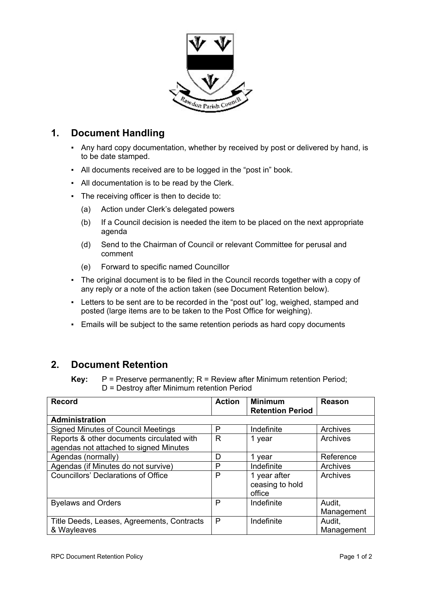

## **1. Document Handling**

- Any hard copy documentation, whether by received by post or delivered by hand, is to be date stamped.
- All documents received are to be logged in the "post in" book.
- All documentation is to be read by the Clerk.
- The receiving officer is then to decide to:
	- (a) Action under Clerk's delegated powers
	- (b) If a Council decision is needed the item to be placed on the next appropriate agenda
	- (d) Send to the Chairman of Council or relevant Committee for perusal and comment
	- (e) Forward to specific named Councillor
- The original document is to be filed in the Council records together with a copy of any reply or a note of the action taken (see Document Retention below).
- Letters to be sent are to be recorded in the "post out" log, weighed, stamped and posted (large items are to be taken to the Post Office for weighing).
- Emails will be subject to the same retention periods as hard copy documents

## **2. Document Retention**

**Key:** P = Preserve permanently; R = Review after Minimum retention Period; D = Destroy after Minimum retention Period

| <b>Record</b>                                             | <b>Action</b> | <b>Minimum</b><br><b>Retention Period</b> | Reason               |
|-----------------------------------------------------------|---------------|-------------------------------------------|----------------------|
| <b>Administration</b>                                     |               |                                           |                      |
| <b>Signed Minutes of Council Meetings</b>                 | P             | Indefinite                                | Archives             |
| Reports & other documents circulated with                 | R             | 1 year                                    | Archives             |
| agendas not attached to signed Minutes                    |               |                                           |                      |
| Agendas (normally)                                        | D             | 1 year                                    | Reference            |
| Agendas (if Minutes do not survive)                       | Р             | Indefinite                                | Archives             |
| <b>Councillors' Declarations of Office</b>                | P             | 1 year after<br>ceasing to hold<br>office | Archives             |
| <b>Byelaws and Orders</b>                                 | P             | Indefinite                                | Audit,<br>Management |
| Title Deeds, Leases, Agreements, Contracts<br>& Wayleaves | P             | Indefinite                                | Audit,<br>Management |